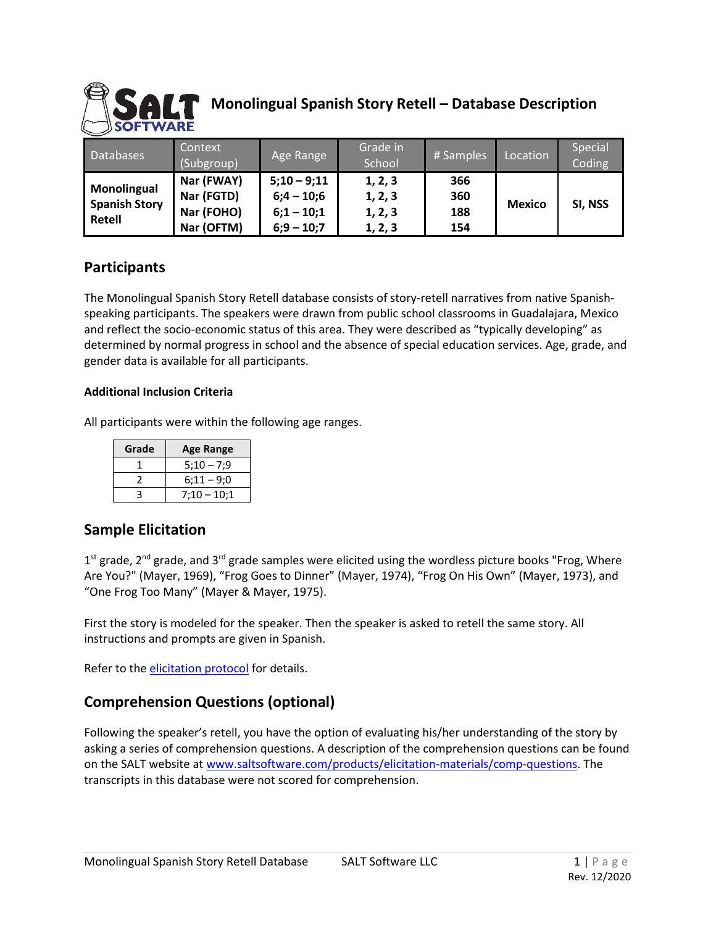

# **Monolingual Spanish Story Retell – Database Description**

| Databases                                     | Context<br>(Subgroup)                                | Age Range                                                     | Grade in<br>School                       | # Samples                | Location      | Special<br>Coding |
|-----------------------------------------------|------------------------------------------------------|---------------------------------------------------------------|------------------------------------------|--------------------------|---------------|-------------------|
| Monolingual<br><b>Spanish Story</b><br>Retell | Nar (FWAY)<br>Nar (FGTD)<br>Nar (FOHO)<br>Nar (OFTM) | $5:10 - 9:11$<br>$6;4 - 10;6$<br>$6;1 - 10;1$<br>$6;9 - 10;7$ | 1, 2, 3<br>1, 2, 3<br>1, 2, 3<br>1, 2, 3 | 366<br>360<br>188<br>154 | <b>Mexico</b> | SI, NSS           |

#### **Participants**

The Monolingual Spanish Story Retell database consists of story-retell narratives from native Spanishspeaking participants. The speakers were drawn from public school classrooms in Guadalajara, Mexico and reflect the socio-economic status of this area. They were described as "typically developing" as determined by normal progress in school and the absence of special education services. Age, grade, and gender data is available for all participants.

#### **Additional Inclusion Criteria**

All participants were within the following age ranges.

| Grade | <b>Age Range</b> |  |  |
|-------|------------------|--|--|
|       | $5:10 - 7:9$     |  |  |
|       | $6:11 - 9:0$     |  |  |
|       | $7:10 - 10:1$    |  |  |

#### **Sample Elicitation**

1<sup>st</sup> grade, 2<sup>nd</sup> grade, and 3<sup>rd</sup> grade samples were elicited using the wordless picture books "Frog, Where Are You?" (Mayer, 1969), "Frog Goes to Dinner" (Mayer, 1974), "Frog On His Own" (Mayer, 1973), and "One Frog Too Many" (Mayer & Mayer, 1975).

First the story is modeled for the speaker. Then the speaker is asked to retell the same story. All instructions and prompts are given in Spanish.

Refer to the [elicitation protocol](https://www.saltsoftware.com/media/wysiwyg/reference_database/FrogStoryElicProtocol.pdf) for details.

#### **Comprehension Questions (optional)**

Following the speaker's retell, you have the option of evaluating his/her understanding of the story by asking a series of comprehension questions. A description of the comprehension questions can be found on the SALT website at [www.saltsoftware.com/products/elicitation-materials/comp-questions.](https://www.saltsoftware.com/products/elicitation-materials/comp-questions) The transcripts in this database were not scored for comprehension.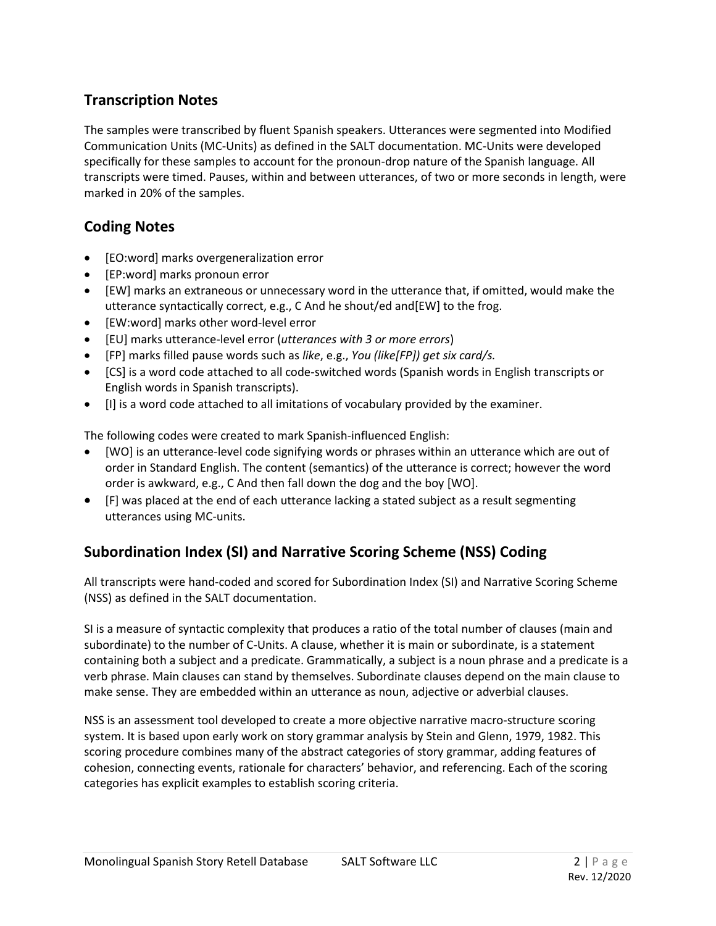### **Transcription Notes**

The samples were transcribed by fluent Spanish speakers. Utterances were segmented into Modified Communication Units (MC-Units) as defined in the SALT documentation. MC-Units were developed specifically for these samples to account for the pronoun-drop nature of the Spanish language. All transcripts were timed. Pauses, within and between utterances, of two or more seconds in length, were marked in 20% of the samples.

### **Coding Notes**

- [EO:word] marks overgeneralization error
- [EP:word] marks pronoun error
- [EW] marks an extraneous or unnecessary word in the utterance that, if omitted, would make the utterance syntactically correct, e.g., C And he shout/ed and[EW] to the frog.
- [EW:word] marks other word-level error
- [EU] marks utterance-level error (*utterances with 3 or more errors*)
- [FP] marks filled pause words such as *like*, e.g., *You (like[FP]) get six card/s.*
- [CS] is a word code attached to all code-switched words (Spanish words in English transcripts or English words in Spanish transcripts).
- [I] is a word code attached to all imitations of vocabulary provided by the examiner.

The following codes were created to mark Spanish-influenced English:

- [WO] is an utterance-level code signifying words or phrases within an utterance which are out of order in Standard English. The content (semantics) of the utterance is correct; however the word order is awkward, e.g., C And then fall down the dog and the boy [WO].
- [F] was placed at the end of each utterance lacking a stated subject as a result segmenting utterances using MC-units.

## **Subordination Index (SI) and Narrative Scoring Scheme (NSS) Coding**

All transcripts were hand-coded and scored for Subordination Index (SI) and Narrative Scoring Scheme (NSS) as defined in the SALT documentation.

SI is a measure of syntactic complexity that produces a ratio of the total number of clauses (main and subordinate) to the number of C-Units. A clause, whether it is main or subordinate, is a statement containing both a subject and a predicate. Grammatically, a subject is a noun phrase and a predicate is a verb phrase. Main clauses can stand by themselves. Subordinate clauses depend on the main clause to make sense. They are embedded within an utterance as noun, adjective or adverbial clauses.

NSS is an assessment tool developed to create a more objective narrative macro-structure scoring system. It is based upon early work on story grammar analysis by Stein and Glenn, 1979, 1982. This scoring procedure combines many of the abstract categories of story grammar, adding features of cohesion, connecting events, rationale for characters' behavior, and referencing. Each of the scoring categories has explicit examples to establish scoring criteria.